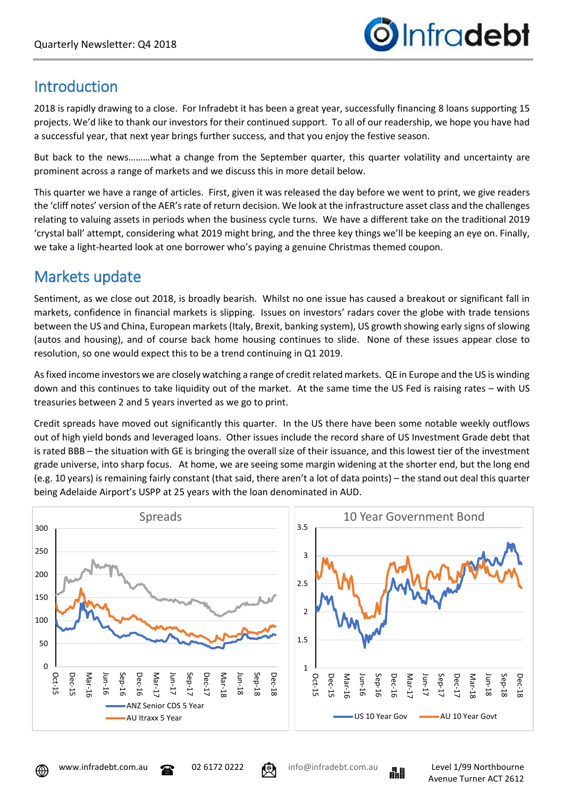

# **Introduction**

2018 is rapidly drawing to a close. For Infradebt it has been a great year, successfully financing 8 loans supporting 15 projects. We'd like to thank our investors for their continued support. To all of our readership, we hope you have had a successful year, that next year brings further success, and that you enjoy the festive season.

But back to the news………what a change from the September quarter, this quarter volatility and uncertainty are prominent across a range of markets and we discuss this in more detail below.

This quarter we have a range of articles. First, given it was released the day before we went to print, we give readers the 'cliff notes' version of the AER's rate of return decision. We look at the infrastructure asset class and the challenges relating to valuing assets in periods when the business cycle turns. We have a different take on the traditional 2019 'crystal ball' attempt, considering what 2019 might bring, and the three key things we'll be keeping an eye on. Finally, we take a light-hearted look at one borrower who's paying a genuine Christmas themed coupon.

# Markets update

Sentiment, as we close out 2018, is broadly bearish. Whilst no one issue has caused a breakout or significant fall in markets, confidence in financial markets is slipping. Issues on investors' radars cover the globe with trade tensions between the US and China, European markets (Italy, Brexit, banking system), US growth showing early signs of slowing (autos and housing), and of course back home housing continues to slide. None of these issues appear close to resolution, so one would expect this to be a trend continuing in Q1 2019.

As fixed income investors we are closely watching a range of credit related markets. QE in Europe and the US is winding down and this continues to take liquidity out of the market. At the same time the US Fed is raising rates – with US treasuries between 2 and 5 years inverted as we go to print.

Credit spreads have moved out significantly this quarter. In the US there have been some notable weekly outflows out of high yield bonds and leveraged loans. Other issues include the record share of US Investment Grade debt that is rated BBB – the situation with GE is bringing the overall size of their issuance, and this lowest tier of the investment grade universe, into sharp focus. At home, we are seeing some margin widening at the shorter end, but the long end (e.g. 10 years) is remaining fairly constant (that said, there aren't a lot of data points) – the stand out deal this quarter being Adelaide Airport's USPP at 25 years with the loan denominated in AUD.





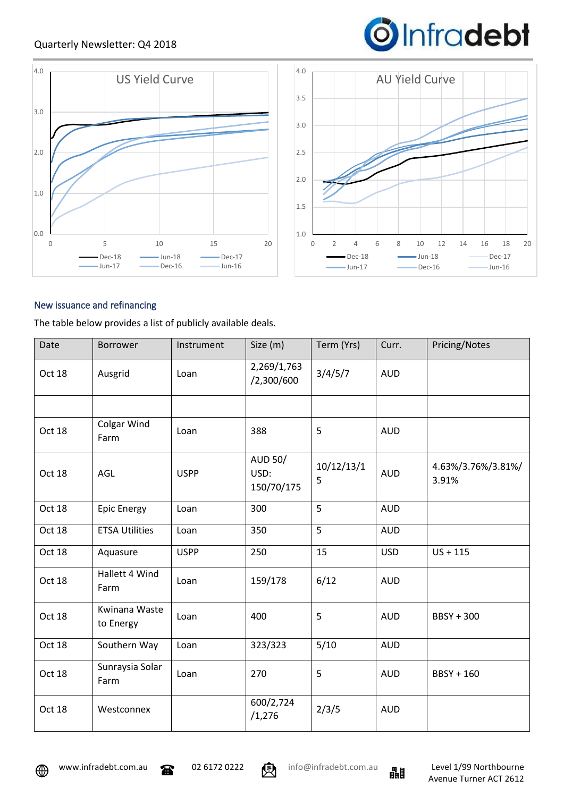## Quarterly Newsletter: Q4 2018





### New issuance and refinancing

The table below provides a list of publicly available deals.

| Date   | Borrower                   | Instrument  | Size (m)                             | Term (Yrs)      | Curr.      | Pricing/Notes               |
|--------|----------------------------|-------------|--------------------------------------|-----------------|------------|-----------------------------|
| Oct 18 | Ausgrid                    | Loan        | 2,269/1,763<br>/2,300/600            | 3/4/5/7         | <b>AUD</b> |                             |
|        |                            |             |                                      |                 |            |                             |
| Oct 18 | Colgar Wind<br>Farm        | Loan        | 388                                  | 5               | <b>AUD</b> |                             |
| Oct 18 | AGL                        | <b>USPP</b> | <b>AUD 50/</b><br>USD:<br>150/70/175 | 10/12/13/1<br>5 | <b>AUD</b> | 4.63%/3.76%/3.81%/<br>3.91% |
| Oct 18 | <b>Epic Energy</b>         | Loan        | 300                                  | 5               | <b>AUD</b> |                             |
| Oct 18 | <b>ETSA Utilities</b>      | Loan        | 350                                  | 5               | <b>AUD</b> |                             |
| Oct 18 | Aquasure                   | <b>USPP</b> | 250                                  | 15              | <b>USD</b> | $US + 115$                  |
| Oct 18 | Hallett 4 Wind<br>Farm     | Loan        | 159/178                              | 6/12            | <b>AUD</b> |                             |
| Oct 18 | Kwinana Waste<br>to Energy | Loan        | 400                                  | 5               | <b>AUD</b> | <b>BBSY + 300</b>           |
| Oct 18 | Southern Way               | Loan        | 323/323                              | 5/10            | <b>AUD</b> |                             |
| Oct 18 | Sunraysia Solar<br>Farm    | Loan        | 270                                  | 5               | <b>AUD</b> | BBSY + 160                  |
| Oct 18 | Westconnex                 |             | 600/2,724<br>/1,276                  | 2/3/5           | <b>AUD</b> |                             |





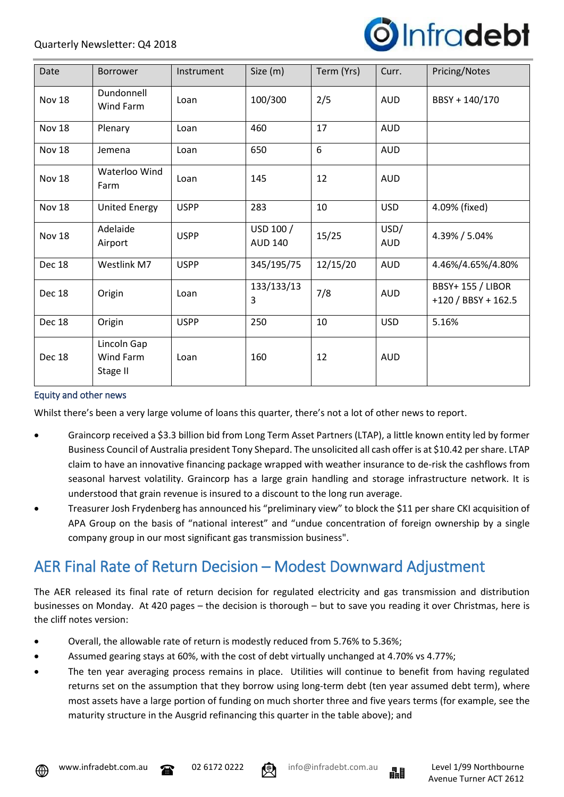

| Date   | <b>Borrower</b>                      | Instrument  | Size (m)                    | Term (Yrs) | Curr.              | Pricing/Notes                                   |
|--------|--------------------------------------|-------------|-----------------------------|------------|--------------------|-------------------------------------------------|
| Nov 18 | Dundonnell<br>Wind Farm              | Loan        | 100/300                     | 2/5        | <b>AUD</b>         | BBSY + 140/170                                  |
| Nov 18 | Plenary                              | Loan        | 460                         | 17         | <b>AUD</b>         |                                                 |
| Nov 18 | Jemena                               | Loan        | 650                         | 6          | <b>AUD</b>         |                                                 |
| Nov 18 | Waterloo Wind<br>Farm                | Loan        | 145                         | 12         | <b>AUD</b>         |                                                 |
| Nov 18 | <b>United Energy</b>                 | <b>USPP</b> | 283                         | 10         | <b>USD</b>         | 4.09% (fixed)                                   |
| Nov 18 | Adelaide<br>Airport                  | <b>USPP</b> | USD 100 /<br><b>AUD 140</b> | 15/25      | USD/<br><b>AUD</b> | 4.39% / 5.04%                                   |
| Dec 18 | Westlink M7                          | <b>USPP</b> | 345/195/75                  | 12/15/20   | <b>AUD</b>         | 4.46%/4.65%/4.80%                               |
| Dec 18 | Origin                               | Loan        | 133/133/13<br>3             | 7/8        | <b>AUD</b>         | <b>BBSY+ 155 / LIBOR</b><br>$+120/BBSY + 162.5$ |
| Dec 18 | Origin                               | <b>USPP</b> | 250                         | 10         | <b>USD</b>         | 5.16%                                           |
| Dec 18 | Lincoln Gap<br>Wind Farm<br>Stage II | Loan        | 160                         | 12         | <b>AUD</b>         |                                                 |

#### Equity and other news

Whilst there's been a very large volume of loans this quarter, there's not a lot of other news to report.

- Graincorp received a \$3.3 billion bid from Long Term Asset Partners (LTAP), a little known entity led by former Business Council of Australia president Tony Shepard. The unsolicited all cash offer is at \$10.42 per share. LTAP claim to have an innovative financing package wrapped with weather insurance to de-risk the cashflows from seasonal harvest volatility. Graincorp has a large grain handling and storage infrastructure network. It is understood that grain revenue is insured to a discount to the long run average.
- Treasurer Josh Frydenberg has announced his "preliminary view" to block the \$11 per share CKI acquisition of APA Group on the basis of "national interest" and "undue concentration of foreign ownership by a single company group in our most significant gas transmission business".

# AER Final Rate of Return Decision – Modest Downward Adjustment

The AER released its final rate of return decision for regulated electricity and gas transmission and distribution businesses on Monday. At 420 pages – the decision is thorough – but to save you reading it over Christmas, here is the cliff notes version:

- Overall, the allowable rate of return is modestly reduced from 5.76% to 5.36%;
- Assumed gearing stays at 60%, with the cost of debt virtually unchanged at 4.70% vs 4.77%;
- The ten year averaging process remains in place. Utilities will continue to benefit from having regulated returns set on the assumption that they borrow using long-term debt (ten year assumed debt term), where most assets have a large portion of funding on much shorter three and five years terms (for example, see the maturity structure in the Ausgrid refinancing this quarter in the table above); and







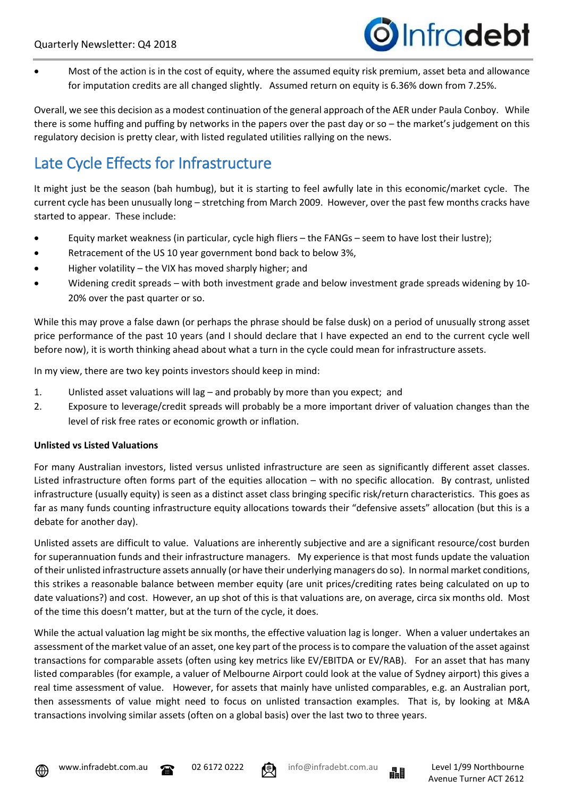

• Most of the action is in the cost of equity, where the assumed equity risk premium, asset beta and allowance for imputation credits are all changed slightly. Assumed return on equity is 6.36% down from 7.25%.

Overall, we see this decision as a modest continuation of the general approach of the AER under Paula Conboy. While there is some huffing and puffing by networks in the papers over the past day or so – the market's judgement on this regulatory decision is pretty clear, with listed regulated utilities rallying on the news.

# Late Cycle Effects for Infrastructure

It might just be the season (bah humbug), but it is starting to feel awfully late in this economic/market cycle. The current cycle has been unusually long – stretching from March 2009. However, over the past few months cracks have started to appear. These include:

- Equity market weakness (in particular, cycle high fliers the FANGs seem to have lost their lustre);
- Retracement of the US 10 year government bond back to below 3%,
- Higher volatility the VIX has moved sharply higher; and
- Widening credit spreads with both investment grade and below investment grade spreads widening by 10- 20% over the past quarter or so.

While this may prove a false dawn (or perhaps the phrase should be false dusk) on a period of unusually strong asset price performance of the past 10 years (and I should declare that I have expected an end to the current cycle well before now), it is worth thinking ahead about what a turn in the cycle could mean for infrastructure assets.

In my view, there are two key points investors should keep in mind:

- 1. Unlisted asset valuations will lag and probably by more than you expect; and
- 2. Exposure to leverage/credit spreads will probably be a more important driver of valuation changes than the level of risk free rates or economic growth or inflation.

### **Unlisted vs Listed Valuations**

For many Australian investors, listed versus unlisted infrastructure are seen as significantly different asset classes. Listed infrastructure often forms part of the equities allocation – with no specific allocation. By contrast, unlisted infrastructure (usually equity) is seen as a distinct asset class bringing specific risk/return characteristics. This goes as far as many funds counting infrastructure equity allocations towards their "defensive assets" allocation (but this is a debate for another day).

Unlisted assets are difficult to value. Valuations are inherently subjective and are a significant resource/cost burden for superannuation funds and their infrastructure managers. My experience is that most funds update the valuation of their unlisted infrastructure assets annually (or have their underlying managers do so). In normal market conditions, this strikes a reasonable balance between member equity (are unit prices/crediting rates being calculated on up to date valuations?) and cost. However, an up shot of this is that valuations are, on average, circa six months old. Most of the time this doesn't matter, but at the turn of the cycle, it does.

While the actual valuation lag might be six months, the effective valuation lag is longer. When a valuer undertakes an assessment of the market value of an asset, one key part of the process is to compare the valuation of the asset against transactions for comparable assets (often using key metrics like EV/EBITDA or EV/RAB). For an asset that has many listed comparables (for example, a valuer of Melbourne Airport could look at the value of Sydney airport) this gives a real time assessment of value. However, for assets that mainly have unlisted comparables, e.g. an Australian port, then assessments of value might need to focus on unlisted transaction examples. That is, by looking at M&A transactions involving similar assets (often on a global basis) over the last two to three years.







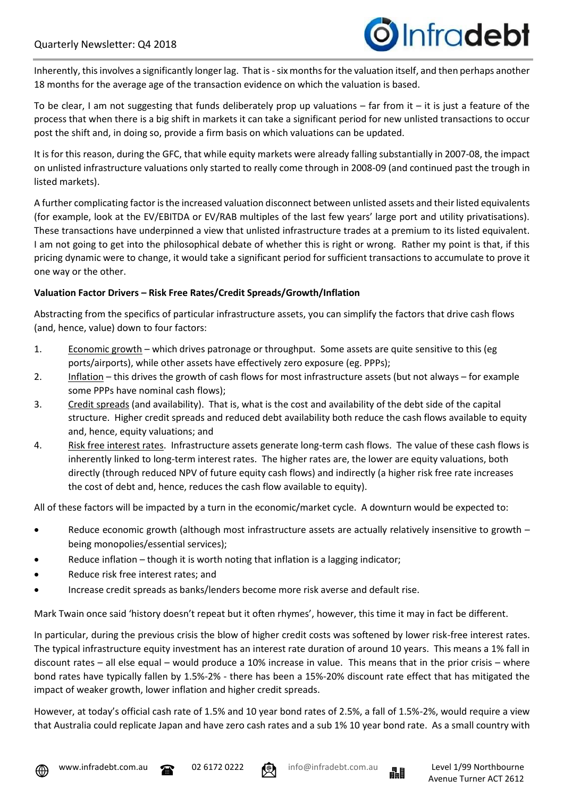Inherently, this involves a significantly longer lag. That is-six months for the valuation itself, and then perhaps another 18 months for the average age of the transaction evidence on which the valuation is based.

To be clear, I am not suggesting that funds deliberately prop up valuations – far from it – it is just a feature of the process that when there is a big shift in markets it can take a significant period for new unlisted transactions to occur post the shift and, in doing so, provide a firm basis on which valuations can be updated.

It is for this reason, during the GFC, that while equity markets were already falling substantially in 2007-08, the impact on unlisted infrastructure valuations only started to really come through in 2008-09 (and continued past the trough in listed markets).

A further complicating factor is the increased valuation disconnect between unlisted assets and their listed equivalents (for example, look at the EV/EBITDA or EV/RAB multiples of the last few years' large port and utility privatisations). These transactions have underpinned a view that unlisted infrastructure trades at a premium to its listed equivalent. I am not going to get into the philosophical debate of whether this is right or wrong. Rather my point is that, if this pricing dynamic were to change, it would take a significant period for sufficient transactions to accumulate to prove it one way or the other.

## **Valuation Factor Drivers – Risk Free Rates/Credit Spreads/Growth/Inflation**

Abstracting from the specifics of particular infrastructure assets, you can simplify the factors that drive cash flows (and, hence, value) down to four factors:

- 1. Economic growth which drives patronage or throughput. Some assets are quite sensitive to this (eg ports/airports), while other assets have effectively zero exposure (eg. PPPs);
- 2. Inflation this drives the growth of cash flows for most infrastructure assets (but not always for example some PPPs have nominal cash flows);
- 3. Credit spreads (and availability). That is, what is the cost and availability of the debt side of the capital structure. Higher credit spreads and reduced debt availability both reduce the cash flows available to equity and, hence, equity valuations; and
- 4. Risk free interest rates. Infrastructure assets generate long-term cash flows. The value of these cash flows is inherently linked to long-term interest rates. The higher rates are, the lower are equity valuations, both directly (through reduced NPV of future equity cash flows) and indirectly (a higher risk free rate increases the cost of debt and, hence, reduces the cash flow available to equity).

All of these factors will be impacted by a turn in the economic/market cycle. A downturn would be expected to:

- Reduce economic growth (although most infrastructure assets are actually relatively insensitive to growth being monopolies/essential services);
- Reduce inflation though it is worth noting that inflation is a lagging indicator;
- Reduce risk free interest rates; and
- Increase credit spreads as banks/lenders become more risk averse and default rise.

Mark Twain once said 'history doesn't repeat but it often rhymes', however, this time it may in fact be different.

In particular, during the previous crisis the blow of higher credit costs was softened by lower risk-free interest rates. The typical infrastructure equity investment has an interest rate duration of around 10 years. This means a 1% fall in discount rates – all else equal – would produce a 10% increase in value. This means that in the prior crisis – where bond rates have typically fallen by 1.5%-2% - there has been a 15%-20% discount rate effect that has mitigated the impact of weaker growth, lower inflation and higher credit spreads.

However, at today's official cash rate of 1.5% and 10 year bond rates of 2.5%, a fall of 1.5%-2%, would require a view that Australia could replicate Japan and have zero cash rates and a sub 1% 10 year bond rate. As a small country with









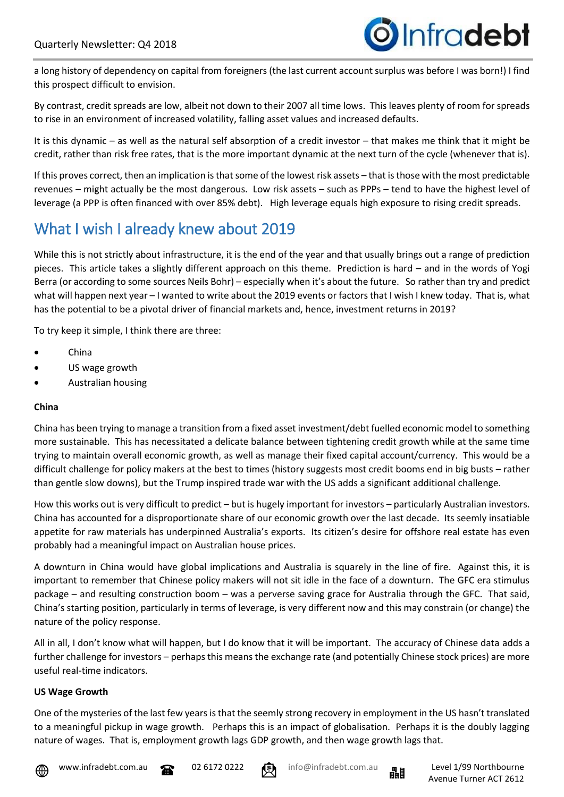a long history of dependency on capital from foreigners (the last current account surplus was before I was born!) I find this prospect difficult to envision.

By contrast, credit spreads are low, albeit not down to their 2007 all time lows. This leaves plenty of room for spreads to rise in an environment of increased volatility, falling asset values and increased defaults.

It is this dynamic – as well as the natural self absorption of a credit investor – that makes me think that it might be credit, rather than risk free rates, that is the more important dynamic at the next turn of the cycle (whenever that is).

If this proves correct, then an implication is that some of the lowest risk assets – that is those with the most predictable revenues – might actually be the most dangerous. Low risk assets – such as PPPs – tend to have the highest level of leverage (a PPP is often financed with over 85% debt). High leverage equals high exposure to rising credit spreads.

# What I wish I already knew about 2019

While this is not strictly about infrastructure, it is the end of the year and that usually brings out a range of prediction pieces. This article takes a slightly different approach on this theme. Prediction is hard – and in the words of Yogi Berra (or according to some sources Neils Bohr) – especially when it's about the future. So rather than try and predict what will happen next year – I wanted to write about the 2019 events or factors that I wish I knew today. That is, what has the potential to be a pivotal driver of financial markets and, hence, investment returns in 2019?

To try keep it simple, I think there are three:

- China
- US wage growth
- Australian housing

#### **China**

China has been trying to manage a transition from a fixed asset investment/debt fuelled economic model to something more sustainable. This has necessitated a delicate balance between tightening credit growth while at the same time trying to maintain overall economic growth, as well as manage their fixed capital account/currency. This would be a difficult challenge for policy makers at the best to times (history suggests most credit booms end in big busts – rather than gentle slow downs), but the Trump inspired trade war with the US adds a significant additional challenge.

How this works out is very difficult to predict – but is hugely important for investors – particularly Australian investors. China has accounted for a disproportionate share of our economic growth over the last decade. Its seemly insatiable appetite for raw materials has underpinned Australia's exports. Its citizen's desire for offshore real estate has even probably had a meaningful impact on Australian house prices.

A downturn in China would have global implications and Australia is squarely in the line of fire. Against this, it is important to remember that Chinese policy makers will not sit idle in the face of a downturn. The GFC era stimulus package – and resulting construction boom – was a perverse saving grace for Australia through the GFC. That said, China's starting position, particularly in terms of leverage, is very different now and this may constrain (or change) the nature of the policy response.

All in all, I don't know what will happen, but I do know that it will be important. The accuracy of Chinese data adds a further challenge for investors – perhaps this means the exchange rate (and potentially Chinese stock prices) are more useful real-time indicators.

### **US Wage Growth**

One of the mysteries of the last few years is that the seemly strong recovery in employment in the US hasn't translated to a meaningful pickup in wage growth. Perhaps this is an impact of globalisation. Perhaps it is the doubly lagging nature of wages. That is, employment growth lags GDP growth, and then wage growth lags that.





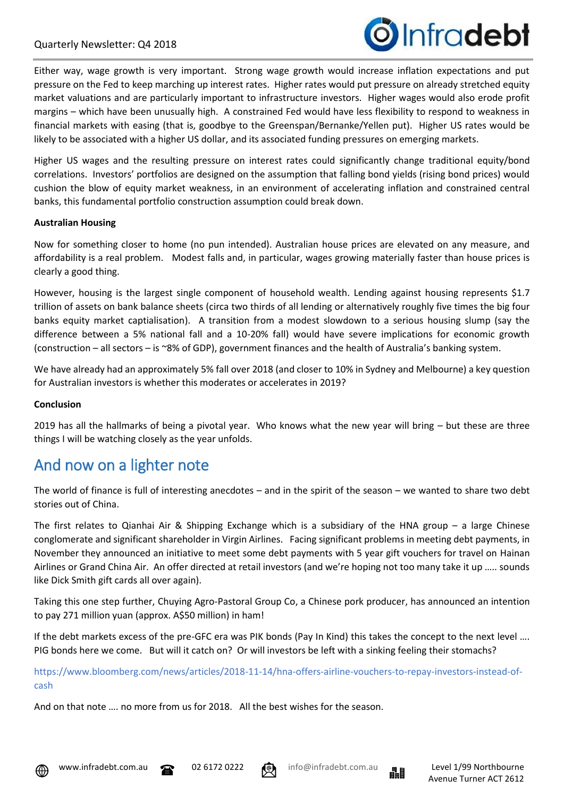

Either way, wage growth is very important. Strong wage growth would increase inflation expectations and put pressure on the Fed to keep marching up interest rates. Higher rates would put pressure on already stretched equity market valuations and are particularly important to infrastructure investors. Higher wages would also erode profit margins – which have been unusually high. A constrained Fed would have less flexibility to respond to weakness in financial markets with easing (that is, goodbye to the Greenspan/Bernanke/Yellen put). Higher US rates would be likely to be associated with a higher US dollar, and its associated funding pressures on emerging markets.

Higher US wages and the resulting pressure on interest rates could significantly change traditional equity/bond correlations. Investors' portfolios are designed on the assumption that falling bond yields (rising bond prices) would cushion the blow of equity market weakness, in an environment of accelerating inflation and constrained central banks, this fundamental portfolio construction assumption could break down.

#### **Australian Housing**

Now for something closer to home (no pun intended). Australian house prices are elevated on any measure, and affordability is a real problem. Modest falls and, in particular, wages growing materially faster than house prices is clearly a good thing.

However, housing is the largest single component of household wealth. Lending against housing represents \$1.7 trillion of assets on bank balance sheets (circa two thirds of all lending or alternatively roughly five times the big four banks equity market captialisation). A transition from a modest slowdown to a serious housing slump (say the difference between a 5% national fall and a 10-20% fall) would have severe implications for economic growth (construction – all sectors – is ~8% of GDP), government finances and the health of Australia's banking system.

We have already had an approximately 5% fall over 2018 (and closer to 10% in Sydney and Melbourne) a key question for Australian investors is whether this moderates or accelerates in 2019?

#### **Conclusion**

2019 has all the hallmarks of being a pivotal year. Who knows what the new year will bring – but these are three things I will be watching closely as the year unfolds.

# And now on a lighter note

The world of finance is full of interesting anecdotes – and in the spirit of the season – we wanted to share two debt stories out of China.

The first relates to Qianhai Air & Shipping Exchange which is a subsidiary of the HNA group – a large Chinese conglomerate and significant shareholder in Virgin Airlines. Facing significant problems in meeting debt payments, in November they announced an initiative to meet some debt payments with 5 year gift vouchers for travel on Hainan Airlines or Grand China Air. An offer directed at retail investors (and we're hoping not too many take it up ….. sounds like Dick Smith gift cards all over again).

Taking this one step further, Chuying Agro-Pastoral Group Co, a Chinese pork producer, has announced an intention to pay 271 million yuan (approx. A\$50 million) in ham!

If the debt markets excess of the pre-GFC era was PIK bonds (Pay In Kind) this takes the concept to the next level …. PIG bonds here we come. But will it catch on? Or will investors be left with a sinking feeling their stomachs?

[https://www.bloomberg.com/news/articles/2018-11-14/hna-offers-airline-vouchers-to-repay-investors-instead-of](https://www.bloomberg.com/news/articles/2018-11-14/hna-offers-airline-vouchers-to-repay-investors-instead-of-cash)[cash](https://www.bloomberg.com/news/articles/2018-11-14/hna-offers-airline-vouchers-to-repay-investors-instead-of-cash)

And on that note …. no more from us for 2018. All the best wishes for the season.